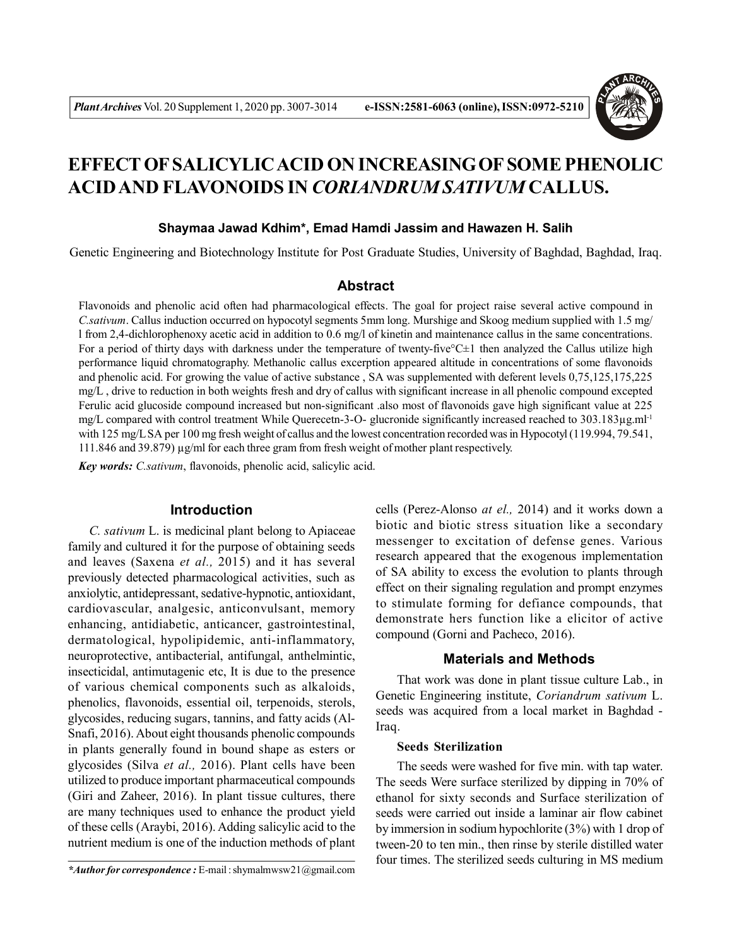

# **EFFECT OF SALICYLIC ACID ON INCREASING OF SOME PHENOLIC ACID AND FLAVONOIDS IN** *CORIANDRUM SATIVUM* **CALLUS.**

#### **Shaymaa Jawad Kdhim\*, Emad Hamdi Jassim and Hawazen H. Salih**

Genetic Engineering and Biotechnology Institute for Post Graduate Studies, University of Baghdad, Baghdad, Iraq.

## **Abstract**

Flavonoids and phenolic acid often had pharmacological effects. The goal for project raise several active compound in *C.sativum*. Callus induction occurred on hypocotyl segments 5mm long. Murshige and Skoog medium supplied with 1.5 mg/ l from 2,4-dichlorophenoxy acetic acid in addition to 0.6 mg/l of kinetin and maintenance callus in the same concentrations. For a period of thirty days with darkness under the temperature of twenty-five ${}^{\circ}C\pm1$  then analyzed the Callus utilize high performance liquid chromatography. Methanolic callus excerption appeared altitude in concentrations of some flavonoids and phenolic acid. For growing the value of active substance , SA was supplemented with deferent levels 0,75,125,175,225 mg/L , drive to reduction in both weights fresh and dry of callus with significant increase in all phenolic compound excepted Ferulic acid glucoside compound increased but non-significant .also most of flavonoids gave high significant value at 225 mg/L compared with control treatment While Querecetn-3-O- glucronide significantly increased reached to 303.183µg.ml<sup>-1</sup> with 125 mg/L SA per 100 mg fresh weight of callus and the lowest concentration recorded was in Hypocotyl (119.994, 79.541, 111.846 and 39.879) µg/ml for each three gram from fresh weight of mother plant respectively.

*Key words: C.sativum*, flavonoids, phenolic acid, salicylic acid.

### **Introduction**

*C. sativum* L. is medicinal plant belong to Apiaceae family and cultured it for the purpose of obtaining seeds and leaves (Saxena *et al.,* 2015) and it has several previously detected pharmacological activities, such as anxiolytic, antidepressant, sedative-hypnotic, antioxidant, cardiovascular, analgesic, anticonvulsant, memory enhancing, antidiabetic, anticancer, gastrointestinal, dermatological, hypolipidemic, anti-inflammatory, neuroprotective, antibacterial, antifungal, anthelmintic, insecticidal, antimutagenic etc, It is due to the presence of various chemical components such as alkaloids, phenolics, flavonoids, essential oil, terpenoids, sterols, glycosides, reducing sugars, tannins, and fatty acids (Al-Snafi, 2016). About eight thousands phenolic compounds in plants generally found in bound shape as esters or glycosides (Silva *et al.,* 2016). Plant cells have been utilized to produce important pharmaceutical compounds (Giri and Zaheer, 2016). In plant tissue cultures, there are many techniques used to enhance the product yield of these cells (Araybi, 2016). Adding salicylic acid to the nutrient medium is one of the induction methods of plant cells (Perez-Alonso *at el.,* 2014) and it works down a biotic and biotic stress situation like a secondary messenger to excitation of defense genes. Various research appeared that the exogenous implementation of SA ability to excess the evolution to plants through effect on their signaling regulation and prompt enzymes to stimulate forming for defiance compounds, that demonstrate hers function like a elicitor of active compound (Gorni and Pacheco, 2016).

#### **Materials and Methods**

That work was done in plant tissue culture Lab., in Genetic Engineering institute, *Coriandrum sativum* L. seeds was acquired from a local market in Baghdad - Iraq.

#### **Seeds Sterilization**

The seeds were washed for five min. with tap water. The seeds Were surface sterilized by dipping in 70% of ethanol for sixty seconds and Surface sterilization of seeds were carried out inside a laminar air flow cabinet by immersion in sodium hypochlorite (3%) with 1 drop of tween-20 to ten min., then rinse by sterile distilled water four times. The sterilized seeds culturing in MS medium

*<sup>\*</sup>Author for correspondence :* E-mail : shymalmwsw21@gmail.com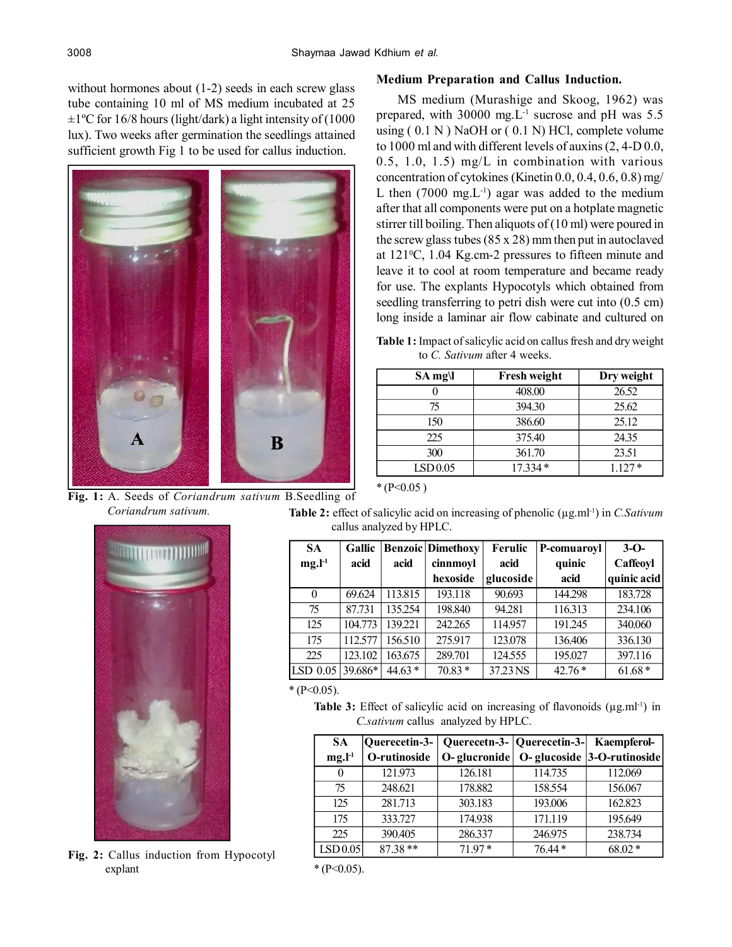without hormones about (1-2) seeds in each screw glass tube containing 10 ml of MS medium incubated at 25  $\pm 1$ <sup>o</sup>C for 16/8 hours (light/dark) a light intensity of (1000 lux). Two weeks after germination the seedlings attained sufficient growth Fig 1 to be used for callus induction.



**Fig. 1:** A. Seeds of *Coriandrum sativum* B.Seedling of *Coriandrum sativum.*



**Fig. 2:** Callus induction from Hypocotyl explant

## **Medium Preparation and Callus Induction.**

MS medium (Murashige and Skoog, 1962) was prepared, with 30000 mg. $L^{-1}$  sucrose and pH was 5.5 using  $(0.1 \text{ N})$  NaOH or  $(0.1 \text{ N})$  HCl, complete volume to 1000 ml and with different levels of auxins (2, 4-D 0.0, 0.5, 1.0, 1.5) mg/L in combination with various concentration of cytokines (Kinetin 0.0, 0.4, 0.6, 0.8) mg/ L then  $(7000 \text{ mg} L^{-1})$  agar was added to the medium after that all components were put on a hotplate magnetic stirrer till boiling. Then aliquots of (10 ml) were poured in the screw glass tubes (85 x 28) mm then put in autoclaved at  $121\degree C$ , 1.04 Kg.cm-2 pressures to fifteen minute and leave it to cool at room temperature and became ready for use. The explants Hypocotyls which obtained from seedling transferring to petri dish were cut into  $(0.5 \text{ cm})$ long inside a laminar air flow cabinate and cultured on

**Table 1:** Impact of salicylic acid on callus fresh and dry weight to *C. Sativum* after 4 weeks.

| $SA$ mg $\lvert$ | <b>Fresh weight</b> | Dry weight |
|------------------|---------------------|------------|
|                  | 408.00              | 26.52      |
| 75               | 394.30              | 25.62      |
| 150              | 386.60              | 25.12      |
| 225              | 375.40              | 24.35      |
| 300              | 361.70              | 23.51      |
| LSD0.05          | $17.334*$           | $1.127*$   |

 $*(P<0.05)$ 

Table 2: effect of salicylic acid on increasing of phenolic ( $\mu$ g.ml<sup>-1</sup>) in *C.Sativum* callus analyzed by HPLC.

| <b>SA</b> | Gallic  |          | <b>Benzoic</b> Dimethoxy | Ferulic   | P-comuaroyl | $3-0$       |
|-----------|---------|----------|--------------------------|-----------|-------------|-------------|
| $mg.l-1$  | acid    | acid     | cinnmoyl                 | acid      | quinic      | Caffeoyl    |
|           |         |          | hexoside                 | glucoside | acid        | quinic acid |
| $\theta$  | 69.624  | 113.815  | 193.118                  | 90.693    | 144.298     | 183.728     |
| 75        | 87.731  | 135.254  | 198.840                  | 94.281    | 116.313     | 234.106     |
| 125       | 104.773 | 139.221  | 242.265                  | 114.957   | 191.245     | 340.060     |
| 175       | 112.577 | 156.510  | 275.917                  | 123.078   | 136.406     | 336.130     |
| 225       | 123.102 | 163.675  | 289.701                  | 124.555   | 195.027     | 397.116     |
| LSD 0.05  | 39.686* | $44.63*$ | $70.83*$                 | 37.23 NS  | $42.76*$    | $61.68*$    |

#### $*(P<0.05)$ .

**Table 3:** Effect of salicylic acid on increasing of flavonoids ( $\mu$ g.ml<sup>-1</sup>) in *C.sativum* callus analyzed by HPLC.

| <b>SA</b>           | Ouerecetin-3- |              | Querecetn-3-   Querecetin-3-   Kaempferol- |                            |
|---------------------|---------------|--------------|--------------------------------------------|----------------------------|
| $mg.l-1$            | O-rutinoside  | O-glucronide |                                            | O-glucoside 3-O-rutinoside |
| $\theta$            | 121.973       | 126.181      | 114.735                                    | 112.069                    |
| 75                  | 248.621       | 178.882      | 158.554                                    | 156.067                    |
| 125                 | 281.713       | 303.183      | 193.006                                    | 162.823                    |
| 175                 | 333.727       | 174.938      | 171.119                                    | 195.649                    |
| 225                 | 390.405       | 286.337      | 246.975                                    | 238.734                    |
| LSD <sub>0.05</sub> | $87.38**$     | 7197*        | $76.44*$                                   | $68.02*$                   |

 $*(P<0.05)$ .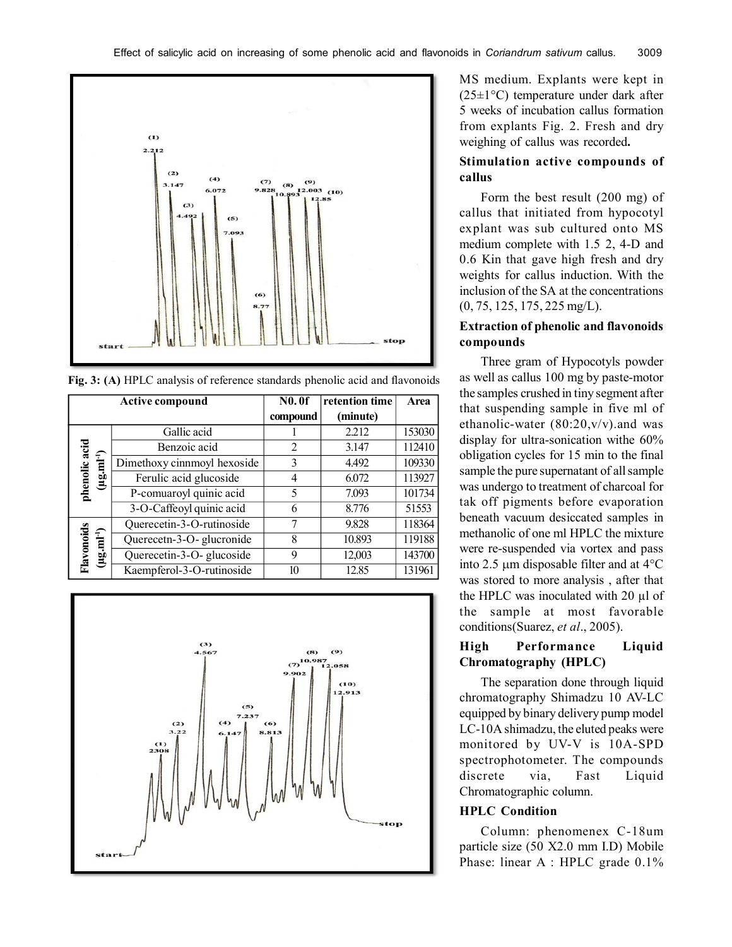

**Fig. 3: (A)** HPLC analysis of reference standards phenolic acid and flavonoids

|                               | <b>Active compound</b>      |          | retention time | Area   |
|-------------------------------|-----------------------------|----------|----------------|--------|
|                               |                             | compound | (minute)       |        |
|                               | Gallic acid                 |          | 2.212          | 153030 |
|                               | Benzoic acid                | 2        | 3.147          | 112410 |
|                               | Dimethoxy cinnmoyl hexoside | 3        | 4.492          | 109330 |
| phenolic acid<br>$(\mu g.m1)$ | Ferulic acid glucoside      | 4        | 6.072          | 113927 |
|                               | P-comuaroyl quinic acid     | 5        | 7.093          | 101734 |
|                               | 3-O-Caffeoyl quinic acid    | 6        | 8.776          | 51553  |
|                               | Querecetin-3-O-rutinoside   | 7        | 9.828          | 118364 |
|                               | Querecetn-3-O-glucronide    | 8        | 10.893         | 119188 |
| Flavonoids<br>$(\mu g.mI^1)$  | Querecetin-3-O- glucoside   | 9        | 12,003         | 143700 |
|                               | Kaempferol-3-O-rutinoside   | 10       | 12.85          | 131961 |



MS medium. Explants were kept in  $(25\pm1\degree C)$  temperature under dark after 5 weeks of incubation callus formation from explants Fig. 2. Fresh and dry weighing of callus was recorded**.**

## **Stimulation active compounds of callus**

Form the best result (200 mg) of callus that initiated from hypocotyl explant was sub cultured onto MS medium complete with 1.5 2, 4-D and 0.6 Kin that gave high fresh and dry weights for callus induction. With the inclusion of the SA at the concentrations (0, 75, 125, 175, 225 mg/L).

# **Extraction of phenolic and flavonoids compounds**

Three gram of Hypocotyls powder as well as callus 100 mg by paste-motor the samples crushed in tiny segment after that suspending sample in five ml of ethanolic-water  $(80:20,v/v)$  and was display for ultra-sonication withe 60% obligation cycles for 15 min to the final sample the pure supernatant of all sample was undergo to treatment of charcoal for tak off pigments before evaporation beneath vacuum desiccated samples in methanolic of one ml HPLC the mixture were re-suspended via vortex and pass into 2.5  $\mu$ m disposable filter and at 4 $\rm ^{o}C$ was stored to more analysis , after that the HPLC was inoculated with 20 µl of the sample at most favorable conditions(Suarez, *et al*., 2005).

## **High Performance Liquid Chromatography (HPLC)**

The separation done through liquid chromatography Shimadzu 10 AV-LC equipped by binary delivery pump model LC-10A shimadzu, the eluted peaks were monitored by UV-V is 10A-SPD spectrophotometer. The compounds discrete via, Fast Liquid Chromatographic column.

### **HPLC Condition**

Column: phenomenex C-18um particle size (50 X2.0 mm I.D) Mobile Phase: linear A : HPLC grade  $0.1\%$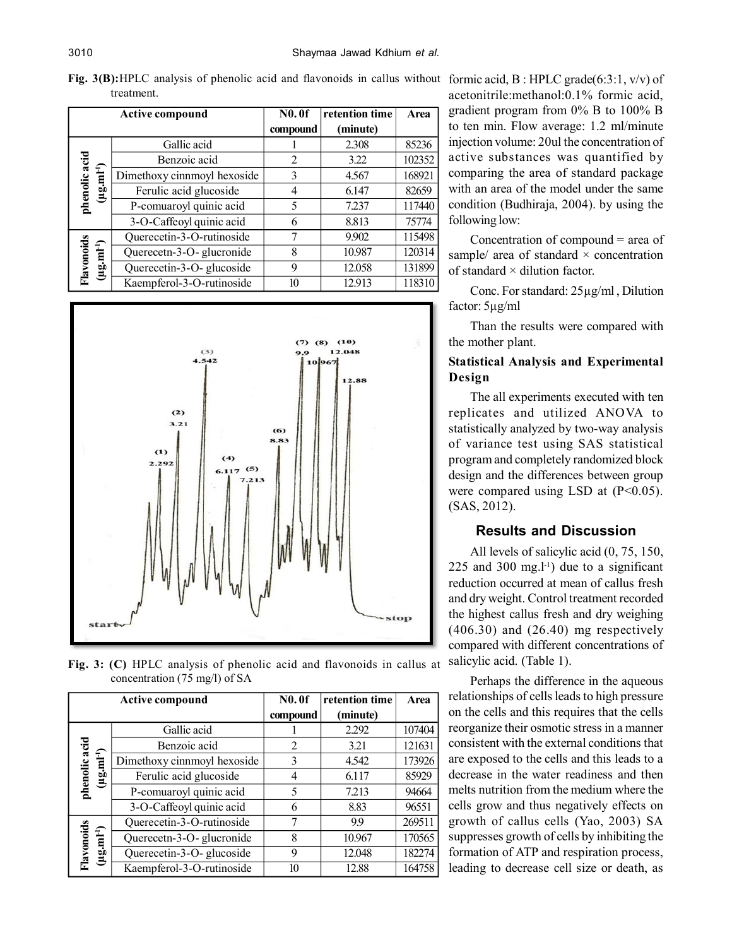**Fig. 3(B):**HPLC analysis of phenolic acid and flavonoids in callus without formic acid, B : HPLC grade(6:3:1, v/v) of treatment.

|                                        | <b>Active compound</b>      | <b>N0.0f</b> | retention time | Area   |
|----------------------------------------|-----------------------------|--------------|----------------|--------|
|                                        |                             | compound     | (minute)       |        |
|                                        | Gallic acid                 |              | 2.308          | 85236  |
|                                        | Benzoic acid                | 2            | 3.22           | 102352 |
| phenolic acid<br>$(\mu g.m^{1-l})$     | Dimethoxy cinnmoyl hexoside | 3            | 4.567          | 168921 |
|                                        | Ferulic acid glucoside      | 4            | 6.147          | 82659  |
|                                        | P-comuaroyl quinic acid     | 5            | 7.237          | 117440 |
|                                        | 3-O-Caffeoyl quinic acid    | 6            | 8.813          | 75774  |
|                                        | Querecetin-3-O-rutinoside   | 7            | 9.902          | 115498 |
|                                        | Querecetn-3-O-glucronide    | 8            | 10.987         | 120314 |
| Flavonoids<br>$(\mu g.m^{1\text{-}l})$ | Querecetin-3-O- glucoside   | 9            | 12.058         | 131899 |
|                                        | Kaempferol-3-O-rutinoside   | 10           | 12.913         | 118310 |



**Fig. 3: (C)** HPLC analysis of phenolic acid and flavonoids in callus at concentration (75 mg/l) of SA

|                              | <b>Active compound</b>      |          | retention time | Area   |
|------------------------------|-----------------------------|----------|----------------|--------|
|                              |                             | compound | (minute)       |        |
|                              | Gallic acid                 |          | 2.292          | 107404 |
| phenolic acid                | Benzoic acid                | 2        | 3.21           | 121631 |
| $(\mu g.mI^{-1})$            | Dimethoxy cinnmoyl hexoside | 3        | 4.542          | 173926 |
|                              | Ferulic acid glucoside      | 4        | 6.117          | 85929  |
|                              | P-comuaroyl quinic acid     | 5        | 7.213          | 94664  |
|                              | 3-O-Caffeoyl quinic acid    | 6        | 8.83           | 96551  |
|                              | Querecetin-3-O-rutinoside   | 7        | 99             | 269511 |
|                              | Querecetn-3-O-glucronide    | 8        | 10.967         | 170565 |
| Flavonoids<br>$(\mu g.mI^1)$ | Querecetin-3-O- glucoside   | 9        | 12.048         | 182274 |
|                              | Kaempferol-3-O-rutinoside   | 10       | 12.88          | 164758 |

acetonitrile:methanol:0.1% formic acid, gradient program from 0% B to 100% B to ten min. Flow average: 1.2 ml/minute injection volume: 20ul the concentration of active substances was quantified by comparing the area of standard package with an area of the model under the same condition (Budhiraja, 2004). by using the following low:

Concentration of compound = area of sample/ area of standard  $\times$  concentration of standard × dilution factor.

Conc. For standard: 25µg/ml , Dilution factor: 5µg/ml

Than the results were compared with the mother plant.

# **Statistical Analysis and Experimental Design**

The all experiments executed with ten replicates and utilized ANOVA to statistically analyzed by two-way analysis of variance test using SAS statistical program and completely randomized block design and the differences between group were compared using LSD at  $(P<0.05)$ . (SAS, 2012).

# **Results and Discussion**

All levels of salicylic acid (0, 75, 150, 225 and 300 mg. $l<sup>-1</sup>$ ) due to a significant reduction occurred at mean of callus fresh and dry weight. Control treatment recorded the highest callus fresh and dry weighing  $(406.30)$  and  $(26.40)$  mg respectively compared with different concentrations of salicylic acid. (Table 1).

Perhaps the difference in the aqueous relationships of cells leads to high pressure on the cells and this requires that the cells reorganize their osmotic stress in a manner consistent with the external conditions that are exposed to the cells and this leads to a decrease in the water readiness and then melts nutrition from the medium where the cells grow and thus negatively effects on growth of callus cells (Yao, 2003) SA suppresses growth of cells by inhibiting the formation of ATP and respiration process, leading to decrease cell size or death, as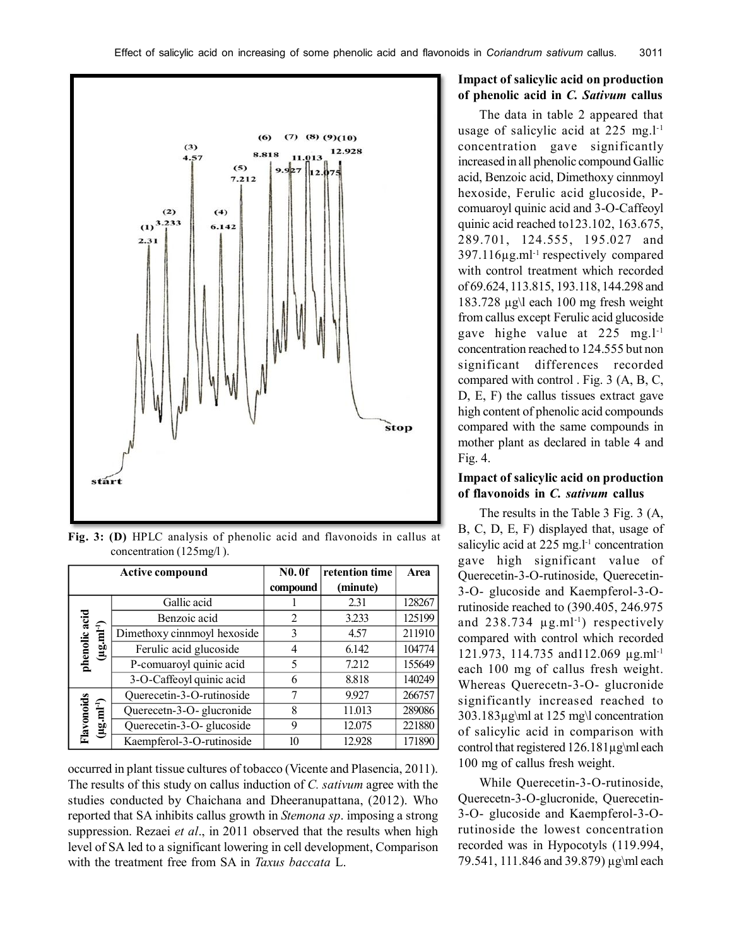

**Fig. 3: (D)** HPLC analysis of phenolic acid and flavonoids in callus at concentration (125mg/l ).

|                                   | <b>Active compound</b>      |                | retention time | Area   |
|-----------------------------------|-----------------------------|----------------|----------------|--------|
|                                   |                             | compound       | (minute)       |        |
|                                   | Gallic acid                 |                | 2.31           | 128267 |
|                                   | Benzoic acid                | $\mathfrak{D}$ | 3.233          | 125199 |
|                                   | Dimethoxy cinnmoyl hexoside | 3              | 4.57           | 211910 |
| phenolic acid<br>$(\mu g.mI^{1})$ | Ferulic acid glucoside      |                | 6.142          | 104774 |
|                                   | P-comuaroyl quinic acid     | 5              | 7.212          | 155649 |
|                                   | 3-O-Caffeoyl quinic acid    | 6              | 8.818          | 140249 |
|                                   | Querecetin-3-O-rutinoside   | 7              | 9.927          | 266757 |
| Flavonoids<br>$(\mu g.m^{1-l})$   | Querecetn-3-O-glucronide    | 8              | 11.013         | 289086 |
|                                   | Querecetin-3-O- glucoside   | 9              | 12.075         | 221880 |
|                                   | Kaempferol-3-O-rutinoside   | 10             | 12.928         | 171890 |

occurred in plant tissue cultures of tobacco (Vicente and Plasencia, 2011). The results of this study on callus induction of *C. sativum* agree with the studies conducted by Chaichana and Dheeranupattana, (2012). Who reported that SA inhibits callus growth in *Stemona sp*. imposing a strong suppression. Rezaei *et al*., in 2011 observed that the results when high level of SA led to a significant lowering in cell development, Comparison with the treatment free from SA in *Taxus baccata* L.

# **Impact of salicylic acid on production of phenolic acid in** *C. Sativum* **callus**

The data in table 2 appeared that usage of salicylic acid at 225 mg.l<sup>-1</sup> concentration gave significantly increased in all phenolic compound Gallic acid, Benzoic acid, Dimethoxy cinnmoyl hexoside, Ferulic acid glucoside, Pcomuaroyl quinic acid and 3-O-Caffeoyl quinic acid reached to123.102, 163.675, 289.701, 124.555, 195.027 and 397.116µg.ml-1 respectively compared with control treatment which recorded of 69.624, 113.815, 193.118, 144.298 and 183.728 µg\l each 100 mg fresh weight from callus except Ferulic acid glucoside gave highe value at 225 mg.l-1 concentration reached to 124.555 but non significant differences recorded compared with control . Fig. 3 (A, B, C, D, E, F) the callus tissues extract gave high content of phenolic acid compounds compared with the same compounds in mother plant as declared in table 4 and Fig. 4.

## **Impact of salicylic acid on production of flavonoids in** *C. sativum* **callus**

The results in the Table 3 Fig. 3 (A, B, C, D, E, F) displayed that, usage of salicylic acid at  $225$  mg.<sup>1-1</sup> concentration gave high significant value of Querecetin-3-O-rutinoside, Querecetin-3-O- glucoside and Kaempferol-3-Orutinoside reached to (390.405, 246.975 and  $238.734 \mu g$ .ml<sup>-1</sup>) respectively compared with control which recorded 121.973, 114.735 and112.069 µg.ml-1 each 100 mg of callus fresh weight. Whereas Querecetn-3-O- glucronide significantly increased reached to 303.183µg\ml at 125 mg\l concentration of salicylic acid in comparison with control that registered 126.181µg\ml each 100 mg of callus fresh weight.

While Querecetin-3-O-rutinoside, Querecetn-3-O-glucronide, Querecetin-3-O- glucoside and Kaempferol-3-Orutinoside the lowest concentration recorded was in Hypocotyls (119.994, 79.541, 111.846 and 39.879) µg\ml each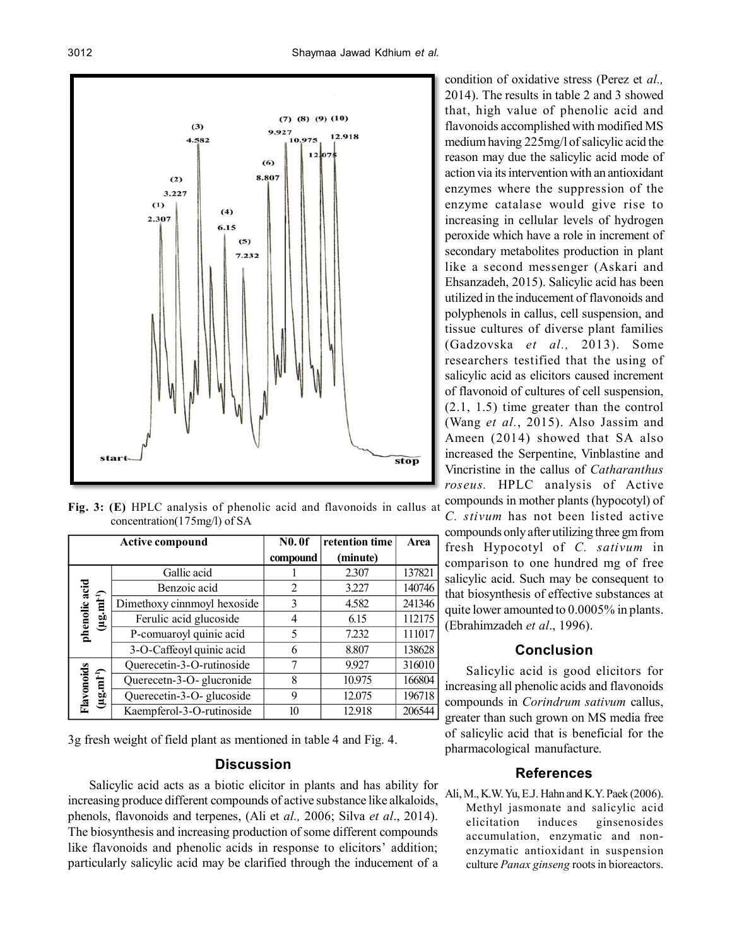

**Fig. 3: (E)** HPLC analysis of phenolic acid and flavonoids in callus at concentration(175mg/l) of SA

|                                           | <b>Active compound</b>      |          | retention time | Area   |
|-------------------------------------------|-----------------------------|----------|----------------|--------|
|                                           |                             | compound | (minute)       |        |
|                                           | Gallic acid                 |          | 2.307          | 137821 |
|                                           | Benzoic acid                | 2        | 3.227          | 140746 |
| phenolic acid<br>$(\mu g.m^{1\text{-}1})$ | Dimethoxy cinnmoyl hexoside | 3        | 4.582          | 241346 |
|                                           | Ferulic acid glucoside      | 4        | 6.15           | 112175 |
|                                           | P-comuaroyl quinic acid     | 5        | 7.232          | 111017 |
|                                           | 3-O-Caffeoyl quinic acid    | 6        | 8.807          | 138628 |
|                                           | Querecetin-3-O-rutinoside   | 7        | 9.927          | 316010 |
| Flavonoids<br>$(\mu g.m^{1\text{-}l})$    | Querecetn-3-O-glucronide    | 8        | 10.975         | 166804 |
|                                           | Querecetin-3-O- glucoside   | 9        | 12.075         | 196718 |
|                                           | Kaempferol-3-O-rutinoside   | 10       | 12.918         | 206544 |

3g fresh weight of field plant as mentioned in table 4 and Fig. 4.

# **Discussion**

Salicylic acid acts as a biotic elicitor in plants and has ability for increasing produce different compounds of active substance like alkaloids, phenols, flavonoids and terpenes, (Ali et *al.,* 2006; Silva *et al*., 2014). The biosynthesis and increasing production of some different compounds like flavonoids and phenolic acids in response to elicitors' addition; particularly salicylic acid may be clarified through the inducement of a

condition of oxidative stress (Perez et *al.,* 2014). The results in table 2 and 3 showed that, high value of phenolic acid and flavonoids accomplished with modified MS medium having 225mg/l of salicylic acid the reason may due the salicylic acid mode of action via its intervention with an antioxidant enzymes where the suppression of the enzyme catalase would give rise to increasing in cellular levels of hydrogen peroxide which have a role in increment of secondary metabolites production in plant like a second messenger (Askari and Ehsanzadeh, 2015). Salicylic acid has been utilized in the inducement of flavonoids and polyphenols in callus, cell suspension, and tissue cultures of diverse plant families (Gadzovska *et al.,* 2013). Some researchers testified that the using of salicylic acid as elicitors caused increment of flavonoid of cultures of cell suspension, (2.1, 1.5) time greater than the control (Wang *et al.*, 2015). Also Jassim and Ameen (2014) showed that SA also increased the Serpentine, Vinblastine and Vincristine in the callus of *Catharanthus roseus.* HPLC analysis of Active compounds in mother plants (hypocotyl) of

*C. stivum* has not been listed active compounds only after utilizing three gm from fresh Hypocotyl of *C. sativum* in comparison to one hundred mg of free salicylic acid. Such may be consequent to that biosynthesis of effective substances at quite lower amounted to 0.0005% in plants. (Ebrahimzadeh *et al*., 1996).

# **Conclusion**

Salicylic acid is good elicitors for increasing all phenolic acids and flavonoids compounds in *Corindrum sativum* callus, greater than such grown on MS media free of salicylic acid that is beneficial for the pharmacological manufacture.

### **References**

Ali, M., K.W. Yu, E.J. Hahn and K.Y. Paek (2006). Methyl jasmonate and salicylic acid elicitation induces ginsenosides accumulation, enzymatic and nonenzymatic antioxidant in suspension culture *Panax ginseng* roots in bioreactors.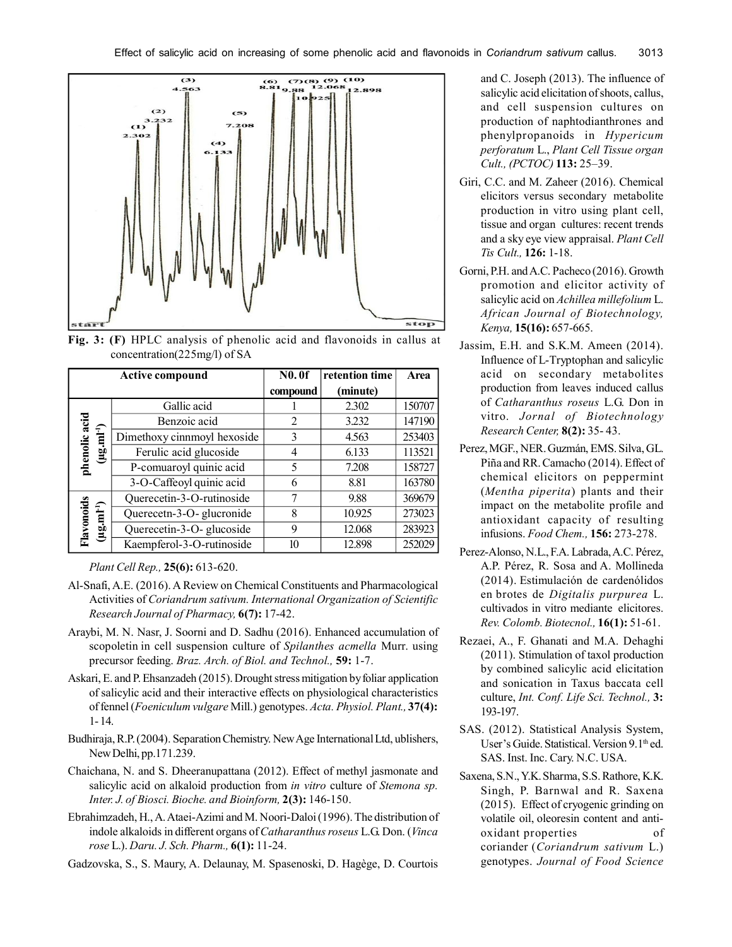

**Fig. 3: (F)** HPLC analysis of phenolic acid and flavonoids in callus at concentration(225mg/l) of SA

|                               | <b>Active compound</b>      |                | retention time | Area   |
|-------------------------------|-----------------------------|----------------|----------------|--------|
|                               |                             | compound       | (minute)       |        |
|                               | Gallic acid                 |                | 2.302          | 150707 |
|                               | Benzoic acid                | $\mathfrak{D}$ | 3.232          | 147190 |
|                               | Dimethoxy cinnmoyl hexoside | 3              | 4.563          | 253403 |
| phenolic acid<br>$(\mu g.m1)$ | Ferulic acid glucoside      | 4              | 6.133          | 113521 |
|                               | P-comuaroyl quinic acid     | 5              | 7.208          | 158727 |
|                               | 3-O-Caffeoyl quinic acid    | 6              | 8.81           | 163780 |
|                               | Querecetin-3-O-rutinoside   | 7              | 9.88           | 369679 |
|                               | Querecetn-3-O-glucronide    | 8              | 10.925         | 273023 |
| Flavonoids<br>$(\mu g.m1)$    | Querecetin-3-O- glucoside   | 9              | 12.068         | 283923 |
|                               | Kaempferol-3-O-rutinoside   | 10             | 12.898         | 252029 |

*Plant Cell Rep.,* **25(6):** 613-620.

- Al-Snafi, A.E. (2016). A Review on Chemical Constituents and Pharmacological Activities of *Coriandrum sativum. International Organization of Scientific Research Journal of Pharmacy,* **6(7):** 17-42.
- Araybi, M. N. Nasr, J. Soorni and D. Sadhu (2016). Enhanced accumulation of scopoletin in cell suspension culture of *Spilanthes acmella* Murr. using precursor feeding. *Braz. Arch. of Biol. and Technol.,* **59:** 1-7.
- Askari, E. and P. Ehsanzadeh (2015). Drought stress mitigation by foliar application of salicylic acid and their interactive effects on physiological characteristics of fennel (*Foeniculum vulgare* Mill.) genotypes. *Acta. Physiol. Plant.,* **37(4):** 1- 14.
- Budhiraja, R.P. (2004). Separation Chemistry. New Age International Ltd, ublishers, New Delhi, pp.171.239.
- Chaichana, N. and S. Dheeranupattana (2012). Effect of methyl jasmonate and salicylic acid on alkaloid production from *in vitro* culture of *Stemona sp. Inter. J. of Biosci. Bioche. and Bioinform,* **2(3):** 146-150.
- Ebrahimzadeh, H., A. Ataei-Azimi and M. Noori-Daloi (1996). The distribution of indole alkaloids in different organs of *Catharanthus roseus* L.G. Don. (*Vinca rose* L.). *Daru. J. Sch. Pharm.,* **6(1):** 11-24.
- Gadzovska, S., S. Maury, A. Delaunay, M. Spasenoski, D. Hagège, D. Courtois

and C. Joseph (2013). The influence of salicylic acid elicitation of shoots, callus, and cell suspension cultures on production of naphtodianthrones and phenylpropanoids in *Hypericum perforatum* L., *Plant Cell Tissue organ Cult., (PCTOC)* **113:** 25–39.

- Giri, C.C. and M. Zaheer (2016). Chemical elicitors versus secondary metabolite production in vitro using plant cell, tissue and organ cultures: recent trends and a sky eye view appraisal. *Plant Cell Tis Cult.,* **126:** 1-18.
- Gorni, P.H. and A.C. Pacheco (2016). Growth promotion and elicitor activity of salicylic acid on *Achillea millefolium* L. *African Journal of Biotechnology, Kenya,* **15(16):** 657-665.
- Jassim, E.H. and S.K.M. Ameen (2014). Influence of L-Tryptophan and salicylic acid on secondary metabolites production from leaves induced callus of *Catharanthus roseus* L.G. Don in vitro. *Jornal of Biotechnology Research Center,* **8(2):** 35- 43.
- Perez, MGF., NER. Guzmán, EMS. Silva, GL. Piña and RR. Camacho (2014). Effect of chemical elicitors on peppermint (*Mentha piperita*) plants and their impact on the metabolite profile and antioxidant capacity of resulting infusions. *Food Chem.,* **156:** 273-278.
- Perez-Alonso, N.L., F.A. Labrada, A.C. Pérez, A.P. Pérez, R. Sosa and A. Mollineda (2014). Estimulación de cardenólidos en brotes de *Digitalis purpurea* L. cultivados in vitro mediante elicitores. *Rev. Colomb. Biotecnol.,* **16(1):** 51-61.
- Rezaei, A., F. Ghanati and M.A. Dehaghi (2011). Stimulation of taxol production by combined salicylic acid elicitation and sonication in Taxus baccata cell culture, *Int. Conf. Life Sci. Technol.,* **3:** 193-197.
- SAS. (2012). Statistical Analysis System, User's Guide. Statistical. Version 9.1<sup>th</sup> ed. SAS. Inst. Inc. Cary. N.C. USA.
- Saxena, S.N., Y.K. Sharma, S.S. Rathore, K.K. Singh, P. Barnwal and R. Saxena (2015). Effect of cryogenic grinding on volatile oil, oleoresin content and antioxidant properties of coriander (*Coriandrum sativum* L.) genotypes. *Journal of Food Science*